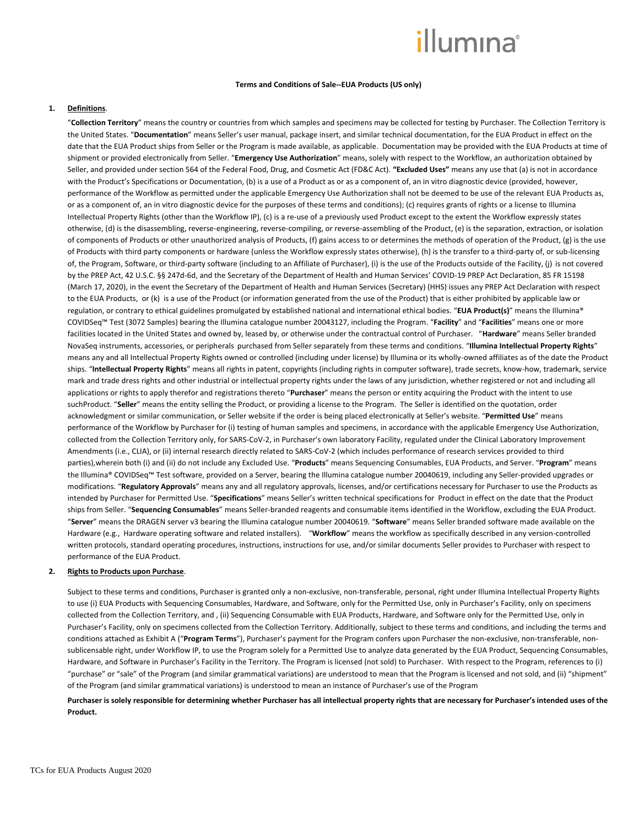# **Terms and Conditions of Sale--EUA Products (US only)**

#### **1. Definitions**.

"**Collection Territory**" means the country or countries from which samples and specimens may be collected for testing by Purchaser. The Collection Territory is the United States. "**Documentation**" means Seller's user manual, package insert, and similar technical documentation, for the EUA Product in effect on the date that the EUA Product ships from Seller or the Program is made available, as applicable. Documentation may be provided with the EUA Products at time of shipment or provided electronically from Seller. "**Emergency Use Authorization**" means, solely with respect to the Workflow, an authorization obtained by Seller, and provided under section 564 of the Federal Food, Drug, and Cosmetic Act (FD&C Act). **"Excluded Uses"** means any use that (a) is not in accordance with the Product's Specifications or Documentation, (b) is a use of a Product as or as a component of, an in vitro diagnostic device (provided, however, performance of the Workflow as permitted under the applicable Emergency Use Authorization shall not be deemed to be use of the relevant EUA Products as, or as a component of, an in vitro diagnostic device for the purposes of these terms and conditions); (c) requires grants of rights or a license to Illumina Intellectual Property Rights (other than the Workflow IP), (c) is a re-use of a previously used Product except to the extent the Workflow expressly states otherwise, (d) is the disassembling, reverse-engineering, reverse-compiling, or reverse-assembling of the Product, (e) is the separation, extraction, or isolation of components of Products or other unauthorized analysis of Products, (f) gains access to or determines the methods of operation of the Product, (g) is the use of Products with third party components or hardware (unless the Workflow expressly states otherwise), (h) is the transfer to a third-party of, or sub-licensing of, the Program, Software, or third-party software (including to an Affiliate of Purchaser), (i) is the use of the Products outside of the Facility, (j) is not covered by the PREP Act, 42 U.S.C. §§ 247d-6d, and the Secretary of the Department of Health and Human Services' COVID-19 PREP Act Declaration, 85 FR 15198 (March 17, 2020), in the event the Secretary of the Department of Health and Human Services (Secretary) (HHS) issues any PREP Act Declaration with respect to the EUA Products, or (k) is a use of the Product (or information generated from the use of the Product) that is either prohibited by applicable law or regulation, or contrary to ethical guidelines promulgated by established national and international ethical bodies. "**EUA Product(s)**" means the Illumina® COVIDSeq™ Test (3072 Samples) bearing the Illumina catalogue number 20043127, including the Program. "**Facility**" and "**Facilities**" means one or more facilities located in the United States and owned by, leased by, or otherwise under the contractual control of Purchaser. "**Hardware**" means Seller branded NovaSeq instruments, accessories, or peripherals purchased from Seller separately from these terms and conditions. "**Illumina Intellectual Property Rights**" means any and all Intellectual Property Rights owned or controlled (including under license) by Illumina or its wholly-owned affiliates as of the date the Product ships. "**Intellectual Property Rights**" means all rights in patent, copyrights (including rights in computer software), trade secrets, know-how, trademark, service mark and trade dress rights and other industrial or intellectual property rights under the laws of any jurisdiction, whether registered or not and including all applications or rights to apply therefor and registrations thereto "**Purchaser**" means the person or entity acquiring the Product with the intent to use suchProduct. "**Seller**" means the entity selling the Product, or providing a license to the Program. The Seller is identified on the quotation, order acknowledgment or similar communication, or Seller website if the order is being placed electronically at Seller's website. "**Permitted Use**" means performance of the Workflow by Purchaser for (i) testing of human samples and specimens, in accordance with the applicable Emergency Use Authorization, collected from the Collection Territory only, for SARS-CoV-2, in Purchaser's own laboratory Facility, regulated under the Clinical Laboratory Improvement Amendments (i.e., CLIA), or (ii) internal research directly related to SARS-CoV-2 (which includes performance of research services provided to third parties),wherein both (i) and (ii) do not include any Excluded Use. "**Products**" means Sequencing Consumables, EUA Products, and Server. "**Program**" means the Illumina® COVIDSeq™ Test software, provided on a Server, bearing the Illumina catalogue number 20040619, including any Seller-provided upgrades or modifications. "**Regulatory Approvals**" means any and all regulatory approvals, licenses, and/or certifications necessary for Purchaser to use the Products as intended by Purchaser for Permitted Use. "**Specifications**" means Seller's written technical specifications for Product in effect on the date that the Product ships from Seller. "**Sequencing Consumables**" means Seller-branded reagents and consumable items identified in the Workflow, excluding the EUA Product. "**Server**" means the DRAGEN server v3 bearing the Illumina catalogue number 20040619. "**Software**" means Seller branded software made available on the Hardware (e.g., Hardware operating software and related installers). "**Workflow**" means the workflow as specifically described in any version-controlled written protocols, standard operating procedures, instructions, instructions for use, and/or similar documents Seller provides to Purchaser with respect to performance of the EUA Product.

## **2. Rights to Products upon Purchase**.

Subject to these terms and conditions, Purchaser is granted only a non-exclusive, non-transferable, personal, right under Illumina Intellectual Property Rights to use (i) EUA Products with Sequencing Consumables, Hardware, and Software, only for the Permitted Use, only in Purchaser's Facility, only on specimens collected from the Collection Territory, and , (ii) Sequencing Consumable with EUA Products, Hardware, and Software only for the Permitted Use, only in Purchaser's Facility, only on specimens collected from the Collection Territory. Additionally, subject to these terms and conditions, and including the terms and conditions attached as Exhibit A ("**Program Terms**"), Purchaser's payment for the Program confers upon Purchaser the non-exclusive, non-transferable, nonsublicensable right, under Workflow IP, to use the Program solely for a Permitted Use to analyze data generated by the EUA Product, Sequencing Consumables, Hardware, and Software in Purchaser's Facility in the Territory. The Program is licensed (not sold) to Purchaser. With respect to the Program, references to (i) "purchase" or "sale" of the Program (and similar grammatical variations) are understood to mean that the Program is licensed and not sold, and (ii) "shipment" of the Program (and similar grammatical variations) is understood to mean an instance of Purchaser's use of the Program

**Purchaser is solely responsible for determining whether Purchaser has all intellectual property rights that are necessary for Purchaser's intended uses of the Product.**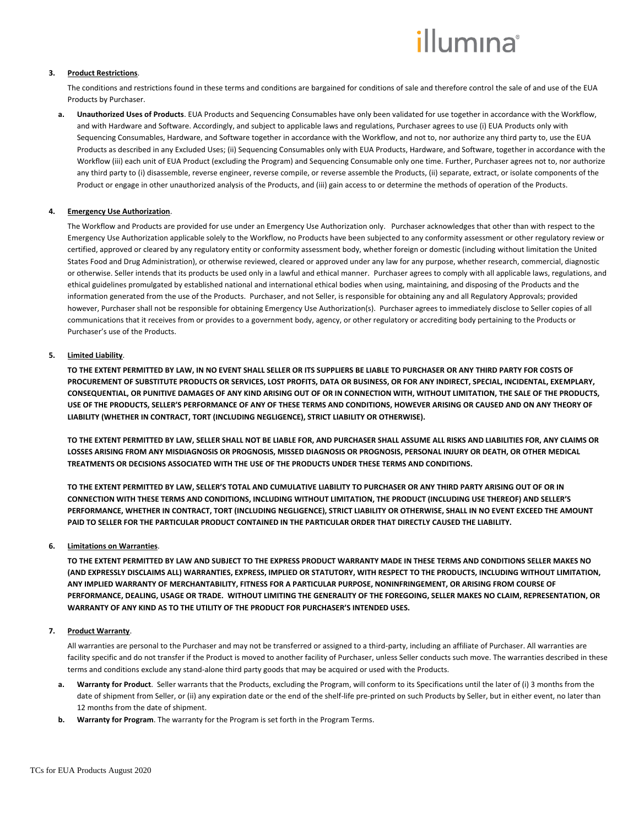# **3. Product Restrictions**.

The conditions and restrictions found in these terms and conditions are bargained for conditions of sale and therefore control the sale of and use of the EUA Products by Purchaser.

**a. Unauthorized Uses of Products**. EUA Products and Sequencing Consumables have only been validated for use together in accordance with the Workflow, and with Hardware and Software. Accordingly, and subject to applicable laws and regulations, Purchaser agrees to use (i) EUA Products only with Sequencing Consumables, Hardware, and Software together in accordance with the Workflow, and not to, nor authorize any third party to, use the EUA Products as described in any Excluded Uses; (ii) Sequencing Consumables only with EUA Products, Hardware, and Software, together in accordance with the Workflow (iii) each unit of EUA Product (excluding the Program) and Sequencing Consumable only one time. Further, Purchaser agrees not to, nor authorize any third party to (i) disassemble, reverse engineer, reverse compile, or reverse assemble the Products, (ii) separate, extract, or isolate components of the Product or engage in other unauthorized analysis of the Products, and (iii) gain access to or determine the methods of operation of the Products.

# **4. Emergency Use Authorization**.

The Workflow and Products are provided for use under an Emergency Use Authorization only. Purchaser acknowledges that other than with respect to the Emergency Use Authorization applicable solely to the Workflow, no Products have been subjected to any conformity assessment or other regulatory review or certified, approved or cleared by any regulatory entity or conformity assessment body, whether foreign or domestic (including without limitation the United States Food and Drug Administration), or otherwise reviewed, cleared or approved under any law for any purpose, whether research, commercial, diagnostic or otherwise. Seller intends that its products be used only in a lawful and ethical manner. Purchaser agrees to comply with all applicable laws, regulations, and ethical guidelines promulgated by established national and international ethical bodies when using, maintaining, and disposing of the Products and the information generated from the use of the Products. Purchaser, and not Seller, is responsible for obtaining any and all Regulatory Approvals; provided however, Purchaser shall not be responsible for obtaining Emergency Use Authorization(s). Purchaser agrees to immediately disclose to Seller copies of all communications that it receives from or provides to a government body, agency, or other regulatory or accrediting body pertaining to the Products or Purchaser's use of the Products.

# **5. Limited Liability**.

**TO THE EXTENT PERMITTED BY LAW, IN NO EVENT SHALL SELLER OR ITS SUPPLIERS BE LIABLE TO PURCHASER OR ANY THIRD PARTY FOR COSTS OF PROCUREMENT OF SUBSTITUTE PRODUCTS OR SERVICES, LOST PROFITS, DATA OR BUSINESS, OR FOR ANY INDIRECT, SPECIAL, INCIDENTAL, EXEMPLARY, CONSEQUENTIAL, OR PUNITIVE DAMAGES OF ANY KIND ARISING OUT OF OR IN CONNECTION WITH, WITHOUT LIMITATION, THE SALE OF THE PRODUCTS, USE OF THE PRODUCTS, SELLER'S PERFORMANCE OF ANY OF THESE TERMS AND CONDITIONS, HOWEVER ARISING OR CAUSED AND ON ANY THEORY OF LIABILITY (WHETHER IN CONTRACT, TORT (INCLUDING NEGLIGENCE), STRICT LIABILITY OR OTHERWISE).**

**TO THE EXTENT PERMITTED BY LAW, SELLER SHALL NOT BE LIABLE FOR, AND PURCHASER SHALL ASSUME ALL RISKS AND LIABILITIES FOR, ANY CLAIMS OR LOSSES ARISING FROM ANY MISDIAGNOSIS OR PROGNOSIS, MISSED DIAGNOSIS OR PROGNOSIS, PERSONAL INJURY OR DEATH, OR OTHER MEDICAL TREATMENTS OR DECISIONS ASSOCIATED WITH THE USE OF THE PRODUCTS UNDER THESE TERMS AND CONDITIONS.**

**TO THE EXTENT PERMITTED BY LAW, SELLER'S TOTAL AND CUMULATIVE LIABILITY TO PURCHASER OR ANY THIRD PARTY ARISING OUT OF OR IN CONNECTION WITH THESE TERMS AND CONDITIONS, INCLUDING WITHOUT LIMITATION, THE PRODUCT (INCLUDING USE THEREOF) AND SELLER'S PERFORMANCE, WHETHER IN CONTRACT, TORT (INCLUDING NEGLIGENCE), STRICT LIABILITY OR OTHERWISE, SHALL IN NO EVENT EXCEED THE AMOUNT PAID TO SELLER FOR THE PARTICULAR PRODUCT CONTAINED IN THE PARTICULAR ORDER THAT DIRECTLY CAUSED THE LIABILITY.** 

## **6. Limitations on Warranties**.

**TO THE EXTENT PERMITTED BY LAW AND SUBJECT TO THE EXPRESS PRODUCT WARRANTY MADE IN THESE TERMS AND CONDITIONS SELLER MAKES NO (AND EXPRESSLY DISCLAIMS ALL) WARRANTIES, EXPRESS, IMPLIED OR STATUTORY, WITH RESPECT TO THE PRODUCTS, INCLUDING WITHOUT LIMITATION, ANY IMPLIED WARRANTY OF MERCHANTABILITY, FITNESS FOR A PARTICULAR PURPOSE, NONINFRINGEMENT, OR ARISING FROM COURSE OF PERFORMANCE, DEALING, USAGE OR TRADE. WITHOUT LIMITING THE GENERALITY OF THE FOREGOING, SELLER MAKES NO CLAIM, REPRESENTATION, OR WARRANTY OF ANY KIND AS TO THE UTILITY OF THE PRODUCT FOR PURCHASER'S INTENDED USES.**

# **7. Product Warranty**.

All warranties are personal to the Purchaser and may not be transferred or assigned to a third-party, including an affiliate of Purchaser. All warranties are facility specific and do not transfer if the Product is moved to another facility of Purchaser, unless Seller conducts such move. The warranties described in these terms and conditions exclude any stand-alone third party goods that may be acquired or used with the Products.

- **a. Warranty for Product**. Seller warrants that the Products, excluding the Program, will conform to its Specifications until the later of (i) 3 months from the date of shipment from Seller, or (ii) any expiration date or the end of the shelf-life pre-printed on such Products by Seller, but in either event, no later than 12 months from the date of shipment.
- **b. Warranty for Program**. The warranty for the Program is set forth in the Program Terms.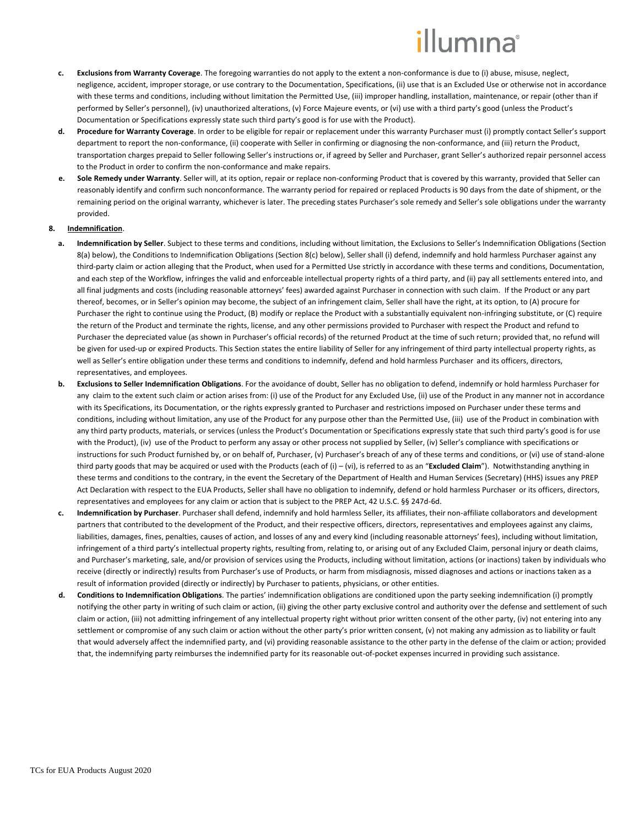- **c. Exclusions from Warranty Coverage**. The foregoing warranties do not apply to the extent a non-conformance is due to (i) abuse, misuse, neglect, negligence, accident, improper storage, or use contrary to the Documentation, Specifications, (ii) use that is an Excluded Use or otherwise not in accordance with these terms and conditions, including without limitation the Permitted Use, (iii) improper handling, installation, maintenance, or repair (other than if performed by Seller's personnel), (iv) unauthorized alterations, (v) Force Majeure events, or (vi) use with a third party's good (unless the Product's Documentation or Specifications expressly state such third party's good is for use with the Product).
- **d. Procedure for Warranty Coverage**. In order to be eligible for repair or replacement under this warranty Purchaser must (i) promptly contact Seller's support department to report the non-conformance, (ii) cooperate with Seller in confirming or diagnosing the non-conformance, and (iii) return the Product, transportation charges prepaid to Seller following Seller's instructions or, if agreed by Seller and Purchaser, grant Seller's authorized repair personnel access to the Product in order to confirm the non-conformance and make repairs.
- **e. Sole Remedy under Warranty**. Seller will, at its option, repair or replace non-conforming Product that is covered by this warranty, provided that Seller can reasonably identify and confirm such nonconformance. The warranty period for repaired or replaced Products is 90 days from the date of shipment, or the remaining period on the original warranty, whichever is later. The preceding states Purchaser's sole remedy and Seller's sole obligations under the warranty provided.

## <span id="page-2-0"></span>**8. Indemnification**.

- **a. Indemnification by Seller**. Subject to these terms and conditions, including without limitation, the Exclusions to Seller's Indemnification Obligations (Section [8](#page-2-0)[\(a\)](#page-2-1) below), the Conditions to Indemnification Obligations (Sectio[n 8\(](#page-2-0)[c\)](#page-2-2) below), Seller shall (i) defend, indemnify and hold harmless Purchaser against any third-party claim or action alleging that the Product, when used for a Permitted Use strictly in accordance with these terms and conditions, Documentation, and each step of the Workflow, infringes the valid and enforceable intellectual property rights of a third party, and (ii) pay all settlements entered into, and all final judgments and costs (including reasonable attorneys' fees) awarded against Purchaser in connection with such claim. If the Product or any part thereof, becomes, or in Seller's opinion may become, the subject of an infringement claim, Seller shall have the right, at its option, to (A) procure for Purchaser the right to continue using the Product, (B) modify or replace the Product with a substantially equivalent non-infringing substitute, or (C) require the return of the Product and terminate the rights, license, and any other permissions provided to Purchaser with respect the Product and refund to Purchaser the depreciated value (as shown in Purchaser's official records) of the returned Product at the time of such return; provided that, no refund will be given for used-up or expired Products. This Section states the entire liability of Seller for any infringement of third party intellectual property rights, as well as Seller's entire obligation under these terms and conditions to indemnify, defend and hold harmless Purchaser and its officers, directors, representatives, and employees.
- <span id="page-2-1"></span>**b. Exclusions to Seller Indemnification Obligations**. For the avoidance of doubt, Seller has no obligation to defend, indemnify or hold harmless Purchaser for any claim to the extent such claim or action arises from: (i) use of the Product for any Excluded Use, (ii) use of the Product in any manner not in accordance with its Specifications, its Documentation, or the rights expressly granted to Purchaser and restrictions imposed on Purchaser under these terms and conditions, including without limitation, any use of the Product for any purpose other than the Permitted Use, (iii) use of the Product in combination with any third party products, materials, or services (unless the Product's Documentation or Specifications expressly state that such third party's good is for use with the Product), (iv) use of the Product to perform any assay or other process not supplied by Seller, (iv) Seller's compliance with specifications or instructions for such Product furnished by, or on behalf of, Purchaser, (v) Purchaser's breach of any of these terms and conditions, or (vi) use of stand-alone third party goods that may be acquired or used with the Products (each of (i) – (vi), is referred to as an "**Excluded Claim**"). Notwithstanding anything in these terms and conditions to the contrary, in the event the Secretary of the Department of Health and Human Services (Secretary) (HHS) issues any PREP Act Declaration with respect to the EUA Products, Seller shall have no obligation to indemnify, defend or hold harmless Purchaser or its officers, directors, representatives and employees for any claim or action that is subject to the PREP Act, 42 U.S.C. §§ 247d-6d.
- **c. Indemnification by Purchaser**. Purchaser shall defend, indemnify and hold harmless Seller, its affiliates, their non-affiliate collaborators and development partners that contributed to the development of the Product, and their respective officers, directors, representatives and employees against any claims, liabilities, damages, fines, penalties, causes of action, and losses of any and every kind (including reasonable attorneys' fees), including without limitation, infringement of a third party's intellectual property rights, resulting from, relating to, or arising out of any Excluded Claim, personal injury or death claims, and Purchaser's marketing, sale, and/or provision of services using the Products, including without limitation, actions (or inactions) taken by individuals who receive (directly or indirectly) results from Purchaser's use of Products, or harm from misdiagnosis, missed diagnoses and actions or inactions taken as a result of information provided (directly or indirectly) by Purchaser to patients, physicians, or other entities.
- <span id="page-2-2"></span>**d. Conditions to Indemnification Obligations**. The parties' indemnification obligations are conditioned upon the party seeking indemnification (i) promptly notifying the other party in writing of such claim or action, (ii) giving the other party exclusive control and authority over the defense and settlement of such claim or action, (iii) not admitting infringement of any intellectual property right without prior written consent of the other party, (iv) not entering into any settlement or compromise of any such claim or action without the other party's prior written consent, (v) not making any admission as to liability or fault that would adversely affect the indemnified party, and (vi) providing reasonable assistance to the other party in the defense of the claim or action; provided that, the indemnifying party reimburses the indemnified party for its reasonable out-of-pocket expenses incurred in providing such assistance.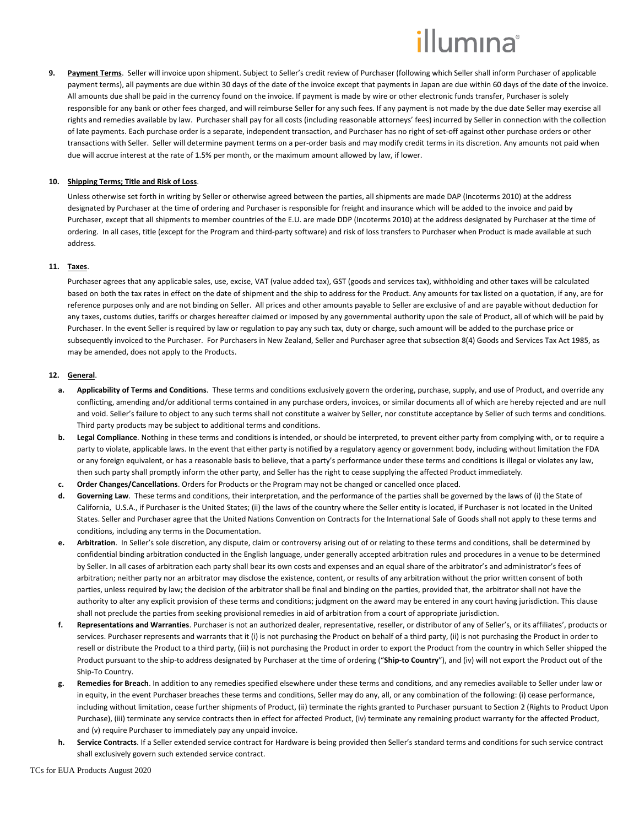**9. Payment Terms**.Seller will invoice upon shipment. Subject to Seller's credit review of Purchaser (following which Seller shall inform Purchaser of applicable payment terms), all payments are due within 30 days of the date of the invoice except that payments in Japan are due within 60 days of the date of the invoice. All amounts due shall be paid in the currency found on the invoice. If payment is made by wire or other electronic funds transfer, Purchaser is solely responsible for any bank or other fees charged, and will reimburse Seller for any such fees. If any payment is not made by the due date Seller may exercise all rights and remedies available by law. Purchaser shall pay for all costs (including reasonable attorneys' fees) incurred by Seller in connection with the collection of late payments. Each purchase order is a separate, independent transaction, and Purchaser has no right of set-off against other purchase orders or other transactions with Seller. Seller will determine payment terms on a per-order basis and may modify credit terms in its discretion. Any amounts not paid when due will accrue interest at the rate of 1.5% per month, or the maximum amount allowed by law, if lower.

## **10. Shipping Terms; Title and Risk of Loss**.

Unless otherwise set forth in writing by Seller or otherwise agreed between the parties, all shipments are made DAP (Incoterms 2010) at the address designated by Purchaser at the time of ordering and Purchaser is responsible for freight and insurance which will be added to the invoice and paid by Purchaser, except that all shipments to member countries of the E.U. are made DDP (Incoterms 2010) at the address designated by Purchaser at the time of ordering. In all cases, title (except for the Program and third-party software) and risk of loss transfers to Purchaser when Product is made available at such address.

#### **11. Taxes**.

Purchaser agrees that any applicable sales, use, excise, VAT (value added tax), GST (goods and services tax), withholding and other taxes will be calculated based on both the tax rates in effect on the date of shipment and the ship to address for the Product. Any amounts for tax listed on a quotation, if any, are for reference purposes only and are not binding on Seller. All prices and other amounts payable to Seller are exclusive of and are payable without deduction for any taxes, customs duties, tariffs or charges hereafter claimed or imposed by any governmental authority upon the sale of Product, all of which will be paid by Purchaser. In the event Seller is required by law or regulation to pay any such tax, duty or charge, such amount will be added to the purchase price or subsequently invoiced to the Purchaser. For Purchasers in New Zealand, Seller and Purchaser agree that subsection 8(4) Goods and Services Tax Act 1985, as may be amended, does not apply to the Products.

#### **12. General**.

- **a. Applicability of Terms and Conditions**.These terms and conditions exclusively govern the ordering, purchase, supply, and use of Product, and override any conflicting, amending and/or additional terms contained in any purchase orders, invoices, or similar documents all of which are hereby rejected and are null and void. Seller's failure to object to any such terms shall not constitute a waiver by Seller, nor constitute acceptance by Seller of such terms and conditions. Third party products may be subject to additional terms and conditions.
- **b. Legal Compliance**. Nothing in these terms and conditions is intended, or should be interpreted, to prevent either party from complying with, or to require a party to violate, applicable laws. In the event that either party is notified by a regulatory agency or government body, including without limitation the FDA or any foreign equivalent, or has a reasonable basis to believe, that a party's performance under these terms and conditions is illegal or violates any law, then such party shall promptly inform the other party, and Seller has the right to cease supplying the affected Product immediately.
- **c. Order Changes/Cancellations**. Orders for Products or the Program may not be changed or cancelled once placed.
- **d. Governing Law**. These terms and conditions, their interpretation, and the performance of the parties shall be governed by the laws of (i) the State of California, U.S.A., if Purchaser is the United States; (ii) the laws of the country where the Seller entity is located, if Purchaser is not located in the United States. Seller and Purchaser agree that the United Nations Convention on Contracts for the International Sale of Goods shall not apply to these terms and conditions, including any terms in the Documentation.
- **e. Arbitration**. In Seller's sole discretion, any dispute, claim or controversy arising out of or relating to these terms and conditions, shall be determined by confidential binding arbitration conducted in the English language, under generally accepted arbitration rules and procedures in a venue to be determined by Seller. In all cases of arbitration each party shall bear its own costs and expenses and an equal share of the arbitrator's and administrator's fees of arbitration; neither party nor an arbitrator may disclose the existence, content, or results of any arbitration without the prior written consent of both parties, unless required by law; the decision of the arbitrator shall be final and binding on the parties, provided that, the arbitrator shall not have the authority to alter any explicit provision of these terms and conditions; judgment on the award may be entered in any court having jurisdiction. This clause shall not preclude the parties from seeking provisional remedies in aid of arbitration from a court of appropriate jurisdiction.
- **f. Representations and Warranties**. Purchaser is not an authorized dealer, representative, reseller, or distributor of any of Seller's, or its affiliates', products or services. Purchaser represents and warrants that it (i) is not purchasing the Product on behalf of a third party, (ii) is not purchasing the Product in order to resell or distribute the Product to a third party, (iii) is not purchasing the Product in order to export the Product from the country in which Seller shipped the Product pursuant to the ship-to address designated by Purchaser at the time of ordering ("**Ship-to Country**"), and (iv) will not export the Product out of the Ship-To Country.
- **g. Remedies for Breach**. In addition to any remedies specified elsewhere under these terms and conditions, and any remedies available to Seller under law or in equity, in the event Purchaser breaches these terms and conditions, Seller may do any, all, or any combination of the following: (i) cease performance, including without limitation, cease further shipments of Product, (ii) terminate the rights granted to Purchaser pursuant to Section 2 (Rights to Product Upon Purchase), (iii) terminate any service contracts then in effect for affected Product, (iv) terminate any remaining product warranty for the affected Product, and (v) require Purchaser to immediately pay any unpaid invoice.
- **h. Service Contracts**. If a Seller extended service contract for Hardware is being provided then Seller's standard terms and conditions for such service contract shall exclusively govern such extended service contract.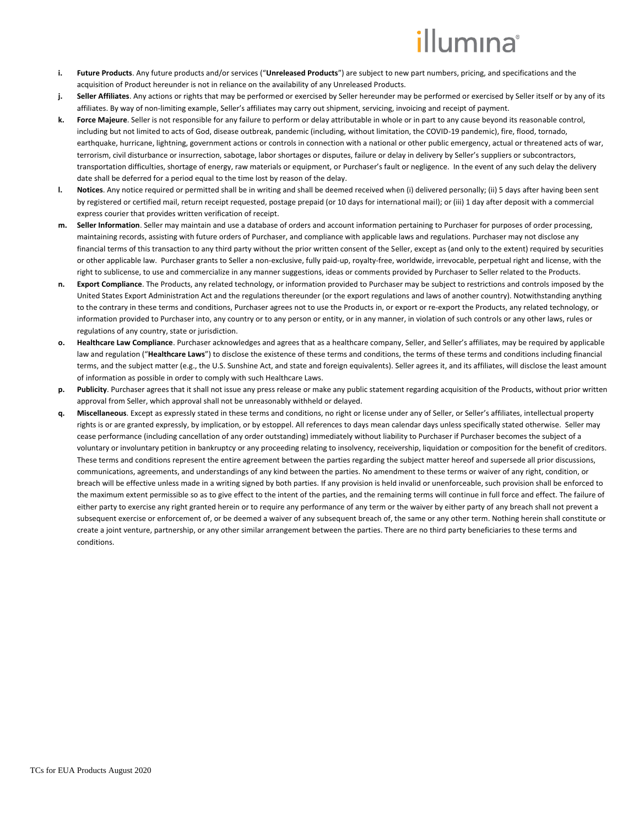- **i. Future Products**. Any future products and/or services ("**Unreleased Products**") are subject to new part numbers, pricing, and specifications and the acquisition of Product hereunder is not in reliance on the availability of any Unreleased Products.
- **j. Seller Affiliates**. Any actions or rights that may be performed or exercised by Seller hereunder may be performed or exercised by Seller itself or by any of its affiliates. By way of non-limiting example, Seller's affiliates may carry out shipment, servicing, invoicing and receipt of payment.
- **k. Force Majeure**. Seller is not responsible for any failure to perform or delay attributable in whole or in part to any cause beyond its reasonable control, including but not limited to acts of God, disease outbreak, pandemic (including, without limitation, the COVID-19 pandemic), fire, flood, tornado, earthquake, hurricane, lightning, government actions or controls in connection with a national or other public emergency, actual or threatened acts of war, terrorism, civil disturbance or insurrection, sabotage, labor shortages or disputes, failure or delay in delivery by Seller's suppliers or subcontractors, transportation difficulties, shortage of energy, raw materials or equipment, or Purchaser's fault or negligence. In the event of any such delay the delivery date shall be deferred for a period equal to the time lost by reason of the delay.
- **l. Notices**. Any notice required or permitted shall be in writing and shall be deemed received when (i) delivered personally; (ii) 5 days after having been sent by registered or certified mail, return receipt requested, postage prepaid (or 10 days for international mail); or (iii) 1 day after deposit with a commercial express courier that provides written verification of receipt.
- **m. Seller Information**. Seller may maintain and use a database of orders and account information pertaining to Purchaser for purposes of order processing, maintaining records, assisting with future orders of Purchaser, and compliance with applicable laws and regulations. Purchaser may not disclose any financial terms of this transaction to any third party without the prior written consent of the Seller, except as (and only to the extent) required by securities or other applicable law. Purchaser grants to Seller a non-exclusive, fully paid-up, royalty-free, worldwide, irrevocable, perpetual right and license, with the right to sublicense, to use and commercialize in any manner suggestions, ideas or comments provided by Purchaser to Seller related to the Products.
- **n. Export Compliance**. The Products, any related technology, or information provided to Purchaser may be subject to restrictions and controls imposed by the United States Export Administration Act and the regulations thereunder (or the export regulations and laws of another country). Notwithstanding anything to the contrary in these terms and conditions, Purchaser agrees not to use the Products in, or export or re-export the Products, any related technology, or information provided to Purchaser into, any country or to any person or entity, or in any manner, in violation of such controls or any other laws, rules or regulations of any country, state or jurisdiction.
- **o. Healthcare Law Compliance**. Purchaser acknowledges and agrees that as a healthcare company, Seller, and Seller's affiliates, may be required by applicable law and regulation ("**Healthcare Laws**") to disclose the existence of these terms and conditions, the terms of these terms and conditions including financial terms, and the subject matter (e.g., the U.S. Sunshine Act, and state and foreign equivalents). Seller agrees it, and its affiliates, will disclose the least amount of information as possible in order to comply with such Healthcare Laws.
- **p. Publicity**. Purchaser agrees that it shall not issue any press release or make any public statement regarding acquisition of the Products, without prior written approval from Seller, which approval shall not be unreasonably withheld or delayed.
- **q. Miscellaneous**. Except as expressly stated in these terms and conditions, no right or license under any of Seller, or Seller's affiliates, intellectual property rights is or are granted expressly, by implication, or by estoppel. All references to days mean calendar days unless specifically stated otherwise. Seller may cease performance (including cancellation of any order outstanding) immediately without liability to Purchaser if Purchaser becomes the subject of a voluntary or involuntary petition in bankruptcy or any proceeding relating to insolvency, receivership, liquidation or composition for the benefit of creditors. These terms and conditions represent the entire agreement between the parties regarding the subject matter hereof and supersede all prior discussions, communications, agreements, and understandings of any kind between the parties. No amendment to these terms or waiver of any right, condition, or breach will be effective unless made in a writing signed by both parties. If any provision is held invalid or unenforceable, such provision shall be enforced to the maximum extent permissible so as to give effect to the intent of the parties, and the remaining terms will continue in full force and effect. The failure of either party to exercise any right granted herein or to require any performance of any term or the waiver by either party of any breach shall not prevent a subsequent exercise or enforcement of, or be deemed a waiver of any subsequent breach of, the same or any other term. Nothing herein shall constitute or create a joint venture, partnership, or any other similar arrangement between the parties. There are no third party beneficiaries to these terms and conditions.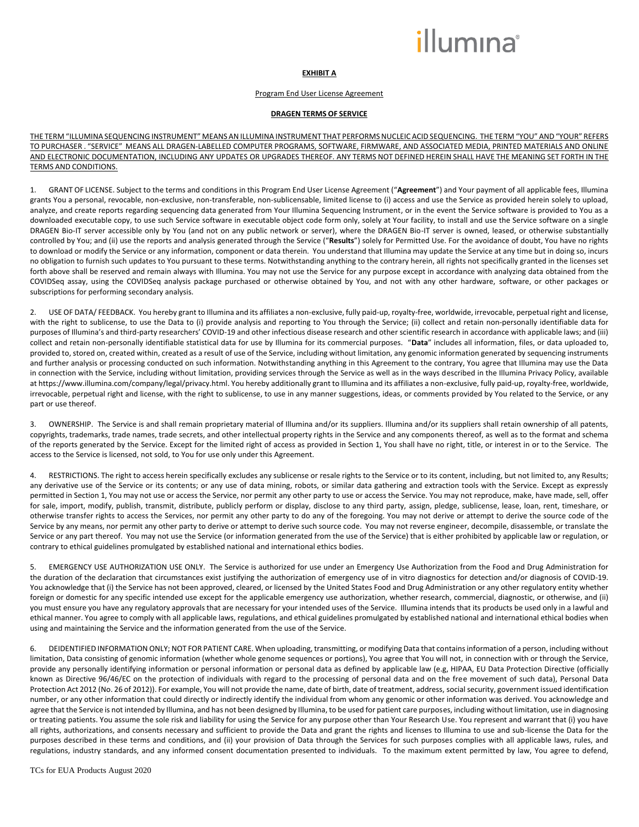# **EXHIBIT A**

#### Program End User License Agreement

## **DRAGEN TERMS OF SERVICE**

THE TERM "ILLUMINA SEQUENCING INSTRUMENT" MEANS ANILLUMINA INSTRUMENT THAT PERFORMS NUCLEIC ACID SEQUENCING. THE TERM "YOU" AND "YOUR" REFERS TO PURCHASER . "SERVICE" MEANS ALL DRAGEN-LABELLED COMPUTER PROGRAMS, SOFTWARE, FIRMWARE, AND ASSOCIATED MEDIA, PRINTED MATERIALS AND ONLINE AND ELECTRONIC DOCUMENTATION, INCLUDING ANY UPDATES OR UPGRADES THEREOF. ANY TERMS NOT DEFINED HEREIN SHALL HAVE THE MEANING SET FORTH IN THE TERMS AND CONDITIONS.

1. GRANT OF LICENSE. Subject to the terms and conditions in this Program End User License Agreement ("**Agreement**") and Your payment of all applicable fees, Illumina grants You a personal, revocable, non-exclusive, non-transferable, non-sublicensable, limited license to (i) access and use the Service as provided herein solely to upload, analyze, and create reports regarding sequencing data generated from Your Illumina Sequencing Instrument, or in the event the Service software is provided to You as a downloaded executable copy, to use such Service software in executable object code form only, solely at Your facility, to install and use the Service software on a single DRAGEN Bio-IT server accessible only by You (and not on any public network or server), where the DRAGEN Bio-IT server is owned, leased, or otherwise substantially controlled by You; and (ii) use the reports and analysis generated through the Service ("**Results**") solely for Permitted Use. For the avoidance of doubt, You have no rights to download or modify the Service or any information, component or data therein. You understand that Illumina may update the Service at any time but in doing so, incurs no obligation to furnish such updates to You pursuant to these terms. Notwithstanding anything to the contrary herein, all rights not specifically granted in the licenses set forth above shall be reserved and remain always with Illumina. You may not use the Service for any purpose except in accordance with analyzing data obtained from the COVIDSeq assay, using the COVIDSeq analysis package purchased or otherwise obtained by You, and not with any other hardware, software, or other packages or subscriptions for performing secondary analysis.

2. USE OF DATA/ FEEDBACK. You hereby grant to Illumina and its affiliates a non-exclusive, fully paid-up, royalty-free, worldwide, irrevocable, perpetual right and license, with the right to sublicense, to use the Data to (i) provide analysis and reporting to You through the Service; (ii) collect and retain non-personally identifiable data for purposes of Illumina's and third-party researchers' COVID-19 and other infectious disease research and other scientific research in accordance with applicable laws; and (iii) collect and retain non-personally identifiable statistical data for use by Illumina for its commercial purposes. "**Data**" includes all information, files, or data uploaded to, provided to, stored on, created within, created as a result of use of the Service, including without limitation, any genomic information generated by sequencing instruments and further analysis or processing conducted on such information. Notwithstanding anything in this Agreement to the contrary, You agree that Illumina may use the Data in connection with the Service, including without limitation, providing services through the Service as well as in the ways described in the Illumina Privacy Policy, available a[t https://www.illumina.com/company/legal/privacy.html.](https://www.illumina.com/company/legal/privacy.html) You hereby additionally grant to Illumina and its affiliates a non-exclusive, fully paid-up, royalty-free, worldwide, irrevocable, perpetual right and license, with the right to sublicense, to use in any manner suggestions, ideas, or comments provided by You related to the Service, or any part or use thereof.

3. OWNERSHIP. The Service is and shall remain proprietary material of Illumina and/or its suppliers. Illumina and/or its suppliers shall retain ownership of all patents, copyrights, trademarks, trade names, trade secrets, and other intellectual property rights in the Service and any components thereof, as well as to the format and schema of the reports generated by the Service. Except for the limited right of access as provided in Section 1, You shall have no right, title, or interest in or to the Service. The access to the Service is licensed, not sold, to You for use only under this Agreement.

4. RESTRICTIONS. The right to access herein specifically excludes any sublicense or resale rights to the Service or to its content, including, but not limited to, any Results; any derivative use of the Service or its contents; or any use of data mining, robots, or similar data gathering and extraction tools with the Service. Except as expressly permitted in Section 1, You may not use or access the Service, nor permit any other party to use or access the Service. You may not reproduce, make, have made, sell, offer for sale, import, modify, publish, transmit, distribute, publicly perform or display, disclose to any third party, assign, pledge, sublicense, lease, loan, rent, timeshare, or otherwise transfer rights to access the Services, nor permit any other party to do any of the foregoing. You may not derive or attempt to derive the source code of the Service by any means, nor permit any other party to derive or attempt to derive such source code. You may not reverse engineer, decompile, disassemble, or translate the Service or any part thereof. You may not use the Service (or information generated from the use of the Service) that is either prohibited by applicable law or regulation, or contrary to ethical guidelines promulgated by established national and international ethics bodies.

5. EMERGENCY USE AUTHORIZATION USE ONLY. The Service is authorized for use under an Emergency Use Authorization from the Food and Drug Administration for the duration of the declaration that circumstances exist justifying the authorization of emergency use of in vitro diagnostics for detection and/or diagnosis of COVID-19. You acknowledge that (i) the Service has not been approved, cleared, or licensed by the United States Food and Drug Administration or any other regulatory entity whether foreign or domestic for any specific intended use except for the applicable emergency use authorization, whether research, commercial, diagnostic, or otherwise, and (ii) you must ensure you have any regulatory approvals that are necessary for your intended uses of the Service. Illumina intends that its products be used only in a lawful and ethical manner. You agree to comply with all applicable laws, regulations, and ethical guidelines promulgated by established national and international ethical bodies when using and maintaining the Service and the information generated from the use of the Service.

6. DEIDENTIFIED INFORMATION ONLY; NOT FOR PATIENT CARE. When uploading, transmitting, or modifying Data that contains information of a person, including without limitation, Data consisting of genomic information (whether whole genome sequences or portions), You agree that You will not, in connection with or through the Service, provide any personally identifying information or personal information or personal data as defined by applicable law (e.g, HIPAA, EU Data Protection Directive (officially known as Directive 96/46/EC on the protection of individuals with regard to the processing of personal data and on the free movement of such data), Personal Data Protection Act 2012 (No. 26 of 2012)). For example, You will not provide the name, date of birth, date of treatment, address, social security, government issued identification number, or any other information that could directly or indirectly identify the individual from whom any genomic or other information was derived. You acknowledge and agree that the Service is not intended by Illumina, and has not been designed by Illumina, to be used for patient care purposes, including without limitation, use in diagnosing or treating patients. You assume the sole risk and liability for using the Service for any purpose other than Your Research Use. You represent and warrant that (i) you have all rights, authorizations, and consents necessary and sufficient to provide the Data and grant the rights and licenses to Illumina to use and sub-license the Data for the purposes described in these terms and conditions, and (ii) your provision of Data through the Services for such purposes complies with all applicable laws, rules, and regulations, industry standards, and any informed consent documentation presented to individuals. To the maximum extent permitted by law, You agree to defend,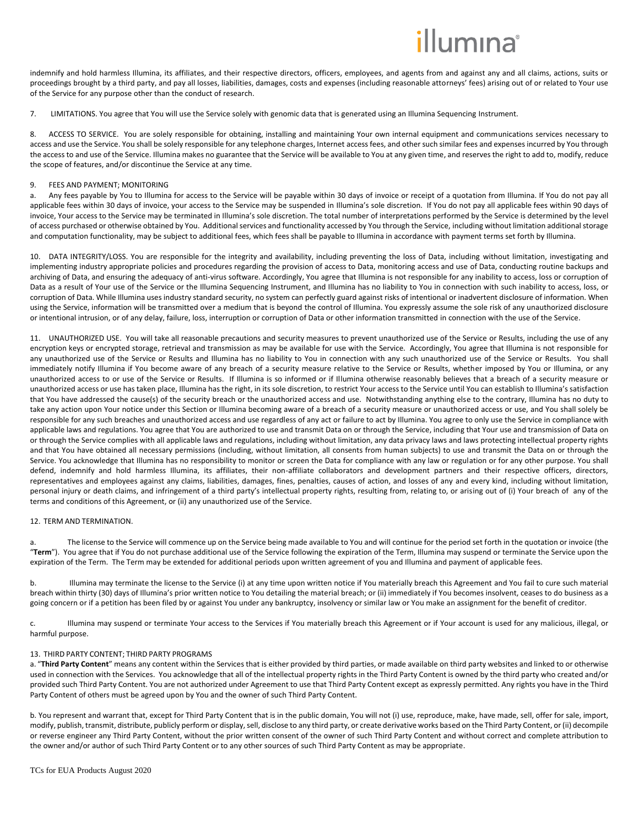indemnify and hold harmless Illumina, its affiliates, and their respective directors, officers, employees, and agents from and against any and all claims, actions, suits or proceedings brought by a third party, and pay all losses, liabilities, damages, costs and expenses (including reasonable attorneys' fees) arising out of or related to Your use of the Service for any purpose other than the conduct of research.

7. LIMITATIONS. You agree that You will use the Service solely with genomic data that is generated using an Illumina Sequencing Instrument.

8. ACCESS TO SERVICE. You are solely responsible for obtaining, installing and maintaining Your own internal equipment and communications services necessary to access and use the Service. You shall be solely responsible for any telephone charges, Internet access fees, and other such similar fees and expenses incurred by You through the access to and use of the Service. Illumina makes no guarantee that the Service will be available to You at any given time, and reserves the right to add to, modify, reduce the scope of features, and/or discontinue the Service at any time.

## 9. FEES AND PAYMENT; MONITORING

a. Any fees payable by You to Illumina for access to the Service will be payable within 30 days of invoice or receipt of a quotation from Illumina. If You do not pay all applicable fees within 30 days of invoice, your access to the Service may be suspended in Illumina's sole discretion. If You do not pay all applicable fees within 90 days of invoice, Your access to the Service may be terminated in Illumina's sole discretion. The total number of interpretations performed by the Service is determined by the level of access purchased or otherwise obtained by You. Additional services and functionality accessed by You through the Service, including without limitation additional storage and computation functionality, may be subject to additional fees, which fees shall be payable to Illumina in accordance with payment terms set forth by Illumina.

10. DATA INTEGRITY/LOSS. You are responsible for the integrity and availability, including preventing the loss of Data, including without limitation, investigating and implementing industry appropriate policies and procedures regarding the provision of access to Data, monitoring access and use of Data, conducting routine backups and archiving of Data, and ensuring the adequacy of anti-virus software. Accordingly, You agree that Illumina is not responsible for any inability to access, loss or corruption of Data as a result of Your use of the Service or the Illumina Sequencing Instrument, and Illumina has no liability to You in connection with such inability to access, loss, or corruption of Data. While Illumina uses industry standard security, no system can perfectly guard against risks of intentional or inadvertent disclosure of information. When using the Service, information will be transmitted over a medium that is beyond the control of Illumina. You expressly assume the sole risk of any unauthorized disclosure or intentional intrusion, or of any delay, failure, loss, interruption or corruption of Data or other information transmitted in connection with the use of the Service.

11. UNAUTHORIZED USE. You will take all reasonable precautions and security measures to prevent unauthorized use of the Service or Results, including the use of any encryption keys or encrypted storage, retrieval and transmission as may be available for use with the Service. Accordingly, You agree that Illumina is not responsible for any unauthorized use of the Service or Results and Illumina has no liability to You in connection with any such unauthorized use of the Service or Results. You shall immediately notify Illumina if You become aware of any breach of a security measure relative to the Service or Results, whether imposed by You or Illumina, or any unauthorized access to or use of the Service or Results. If Illumina is so informed or if Illumina otherwise reasonably believes that a breach of a security measure or unauthorized access or use has taken place, Illumina has the right, in its sole discretion, to restrict Your access to the Service until You can establish to Illumina's satisfaction that You have addressed the cause(s) of the security breach or the unauthorized access and use. Notwithstanding anything else to the contrary, Illumina has no duty to take any action upon Your notice under this Section or Illumina becoming aware of a breach of a security measure or unauthorized access or use, and You shall solely be responsible for any such breaches and unauthorized access and use regardless of any act or failure to act by Illumina. You agree to only use the Service in compliance with applicable laws and regulations. You agree that You are authorized to use and transmit Data on or through the Service, including that Your use and transmission of Data on or through the Service complies with all applicable laws and regulations, including without limitation, any data privacy laws and laws protecting intellectual property rights and that You have obtained all necessary permissions (including, without limitation, all consents from human subjects) to use and transmit the Data on or through the Service. You acknowledge that Illumina has no responsibility to monitor or screen the Data for compliance with any law or regulation or for any other purpose. You shall defend, indemnify and hold harmless Illumina, its affiliates, their non-affiliate collaborators and development partners and their respective officers, directors, representatives and employees against any claims, liabilities, damages, fines, penalties, causes of action, and losses of any and every kind, including without limitation, personal injury or death claims, and infringement of a third party's intellectual property rights, resulting from, relating to, or arising out of (i) Your breach of any of the terms and conditions of this Agreement, or (ii) any unauthorized use of the Service.

#### 12. TERM AND TERMINATION.

The license to the Service will commence up on the Service being made available to You and will continue for the period set forth in the quotation or invoice (the "**Term**"). You agree that if You do not purchase additional use of the Service following the expiration of the Term, Illumina may suspend or terminate the Service upon the expiration of the Term. The Term may be extended for additional periods upon written agreement of you and Illumina and payment of applicable fees.

b. Illumina may terminate the license to the Service (i) at any time upon written notice if You materially breach this Agreement and You fail to cure such material breach within thirty (30) days of Illumina's prior written notice to You detailing the material breach; or (ii) immediately if You becomes insolvent, ceases to do business as a going concern or if a petition has been filed by or against You under any bankruptcy, insolvency or similar law or You make an assignment for the benefit of creditor.

c. Illumina may suspend or terminate Your access to the Services if You materially breach this Agreement or if Your account is used for any malicious, illegal, or harmful purpose.

# 13. THIRD PARTY CONTENT; THIRD PARTY PROGRAMS

a. "Third Party Content" means any content within the Services that is either provided by third parties, or made available on third party websites and linked to or otherwise used in connection with the Services. You acknowledge that all of the intellectual property rights in the Third Party Content is owned by the third party who created and/or provided such Third Party Content. You are not authorized under Agreement to use that Third Party Content except as expressly permitted. Any rights you have in the Third Party Content of others must be agreed upon by You and the owner of such Third Party Content.

b. You represent and warrant that, except for Third Party Content that is in the public domain, You will not (i) use, reproduce, make, have made, sell, offer for sale, import, modify, publish, transmit, distribute, publicly perform or display, sell, disclose to any third party, or create derivative works based on the Third Party Content, or (ii) decompile or reverse engineer any Third Party Content, without the prior written consent of the owner of such Third Party Content and without correct and complete attribution to the owner and/or author of such Third Party Content or to any other sources of such Third Party Content as may be appropriate.